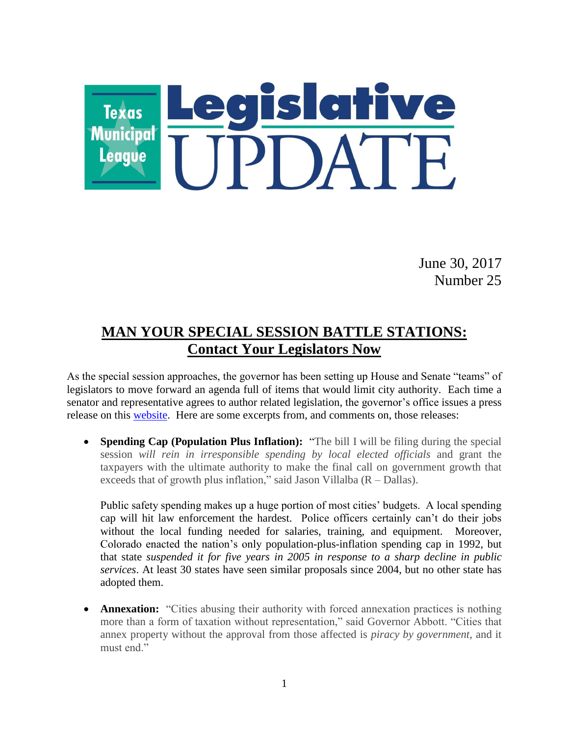

June 30, 2017 Number 25

# **MAN YOUR SPECIAL SESSION BATTLE STATIONS: Contact Your Legislators Now**

As the special session approaches, the governor has been setting up House and Senate "teams" of legislators to move forward an agenda full of items that would limit city authority. Each time a senator and representative agrees to author related legislation, the governor's office issues a press release on this [website.](https://gov.texas.gov/news) Here are some excerpts from, and comments on, those releases:

 **Spending Cap (Population Plus Inflation):** "The bill I will be filing during the special session *will rein in irresponsible spending by local elected officials* and grant the taxpayers with the ultimate authority to make the final call on government growth that exceeds that of growth plus inflation," said Jason Villalba (R – Dallas).

Public safety spending makes up a huge portion of most cities' budgets. A local spending cap will hit law enforcement the hardest. Police officers certainly can't do their jobs without the local funding needed for salaries, training, and equipment. Moreover, Colorado enacted the nation's only population-plus-inflation spending cap in 1992, but that state *suspended it for five years in 2005 in response to a sharp decline in public services*. At least 30 states have seen similar proposals since 2004, but no other state has adopted them.

**Annexation:** "Cities abusing their authority with forced annexation practices is nothing more than a form of taxation without representation," said Governor Abbott. "Cities that annex property without the approval from those affected is *piracy by government*, and it must end."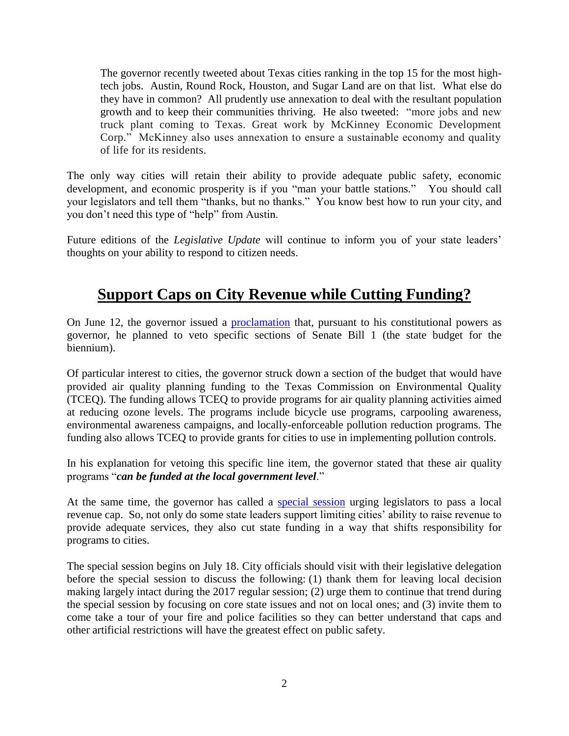The governor recently tweeted about Texas cities ranking in the top 15 for the most hightech jobs. Austin, Round Rock, Houston, and Sugar Land are on that list. What else do they have in common? All prudently use annexation to deal with the resultant population growth and to keep their communities thriving. He also tweeted: "more jobs and new truck plant coming to Texas. Great work by McKinney Economic Development Corp." McKinney also uses annexation to ensure a sustainable economy and quality of life for its residents.

The only way cities will retain their ability to provide adequate public safety, economic development, and economic prosperity is if you "man your battle stations." You should call your legislators and tell them "thanks, but no thanks." You know best how to run your city, and you don't need this type of "help" from Austin.

Future editions of the *Legislative Update* will continue to inform you of your state leaders' thoughts on your ability to respond to citizen needs.

### **Support Caps on City Revenue while Cutting Funding?**

On June 12, the governor issued a [proclamation](https://gov.texas.gov/uploads/files/press/06122017_BudgetAndLineItemVetos.pdf?utm_source=Texas+Tribune+Master&utm_campaign=0fb89f597e-trib-newsletters-the-brief&utm_medium=email&utm_term=0_d9a68d8efc-0fb89f597e-101351161&mc_cid=0fb89f597e&mc_eid=dcd5bbc9f8) that, pursuant to his constitutional powers as governor, he planned to veto specific sections of Senate Bill 1 (the state budget for the biennium).

Of particular interest to cities, the governor struck down a section of the budget that would have provided air quality planning funding to the Texas Commission on Environmental Quality (TCEQ). The funding allows TCEQ to provide programs for air quality planning activities aimed at reducing ozone levels. The programs include bicycle use programs, carpooling awareness, environmental awareness campaigns, and locally-enforceable pollution reduction programs. The funding also allows TCEQ to provide grants for cities to use in implementing pollution controls.

In his explanation for vetoing this specific line item, the governor stated that these air quality programs "*can be funded at the local government level*."

At the same time, the governor has called a [special session](https://www.tml.org/legis_updates/governor-calls-special-session) urging legislators to pass a local revenue cap. So, not only do some state leaders support limiting cities' ability to raise revenue to provide adequate services, they also cut state funding in a way that shifts responsibility for programs to cities.

The special session begins on July 18. City officials should visit with their legislative delegation before the special session to discuss the following: (1) thank them for leaving local decision making largely intact during the 2017 regular session; (2) urge them to continue that trend during the special session by focusing on core state issues and not on local ones; and (3) invite them to come take a tour of your fire and police facilities so they can better understand that caps and other artificial restrictions will have the greatest effect on public safety.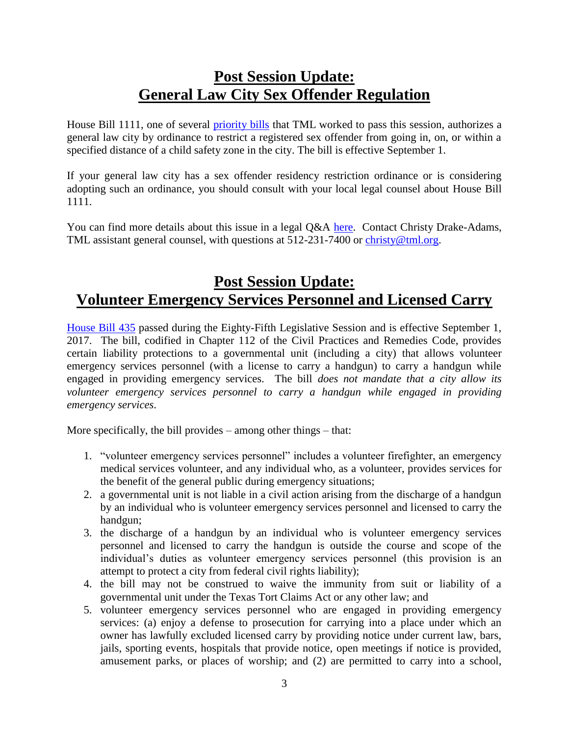#### **Post Session Update: General Law City Sex Offender Regulation**

House Bill 1111, one of several [priority bills](https://www.tml.org/legis_updates/tmls-successful-priority-package) that TML worked to pass this session, authorizes a general law city by ordinance to restrict a registered sex offender from going in, on, or within a specified distance of a child safety zone in the city. The bill is effective September 1.

If your general law city has a sex offender residency restriction ordinance or is considering adopting such an ordinance, you should consult with your local legal counsel about House Bill 1111.

You can find more details about this issue in a legal Q&A [here.](https://www.tml.org/p/Sept%202017%20sex%20offenders%20CDA.pdf) Contact Christy Drake-Adams, TML assistant general counsel, with questions at 512-231-7400 or [christy@tml.org.](mailto:christy@tml.org)

# **Post Session Update: Volunteer Emergency Services Personnel and Licensed Carry**

[House Bill 435](http://www.capitol.state.tx.us/tlodocs/85R/billtext/pdf/HB00435F.pdf#navpanes=0) passed during the Eighty-Fifth Legislative Session and is effective September 1, 2017. The bill, codified in Chapter 112 of the Civil Practices and Remedies Code, provides certain liability protections to a governmental unit (including a city) that allows volunteer emergency services personnel (with a license to carry a handgun) to carry a handgun while engaged in providing emergency services. The bill *does not mandate that a city allow its volunteer emergency services personnel to carry a handgun while engaged in providing emergency services*.

More specifically, the bill provides – among other things – that:

- 1. "volunteer emergency services personnel" includes a volunteer firefighter, an emergency medical services volunteer, and any individual who, as a volunteer, provides services for the benefit of the general public during emergency situations;
- 2. a governmental unit is not liable in a civil action arising from the discharge of a handgun by an individual who is volunteer emergency services personnel and licensed to carry the handgun;
- 3. the discharge of a handgun by an individual who is volunteer emergency services personnel and licensed to carry the handgun is outside the course and scope of the individual's duties as volunteer emergency services personnel (this provision is an attempt to protect a city from federal civil rights liability);
- 4. the bill may not be construed to waive the immunity from suit or liability of a governmental unit under the Texas Tort Claims Act or any other law; and
- 5. volunteer emergency services personnel who are engaged in providing emergency services: (a) enjoy a defense to prosecution for carrying into a place under which an owner has lawfully excluded licensed carry by providing notice under current law, bars, jails, sporting events, hospitals that provide notice, open meetings if notice is provided, amusement parks, or places of worship; and (2) are permitted to carry into a school,